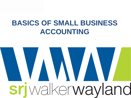## **BASICS OF SMALL BUSINESS ACCOUNTING**

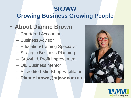## **SRJWW Growing Business Growing People**

### • **About Dianne Brown**

- Chartered Accountant
- Business Advisor
- Education/Training Specialist
- Strategic Business Planning
- Growth & Profit improvement
- Qld Business Mentor
- Accredited Mindshop Facilitator
- **Dianne.brown@srjww.com.au**



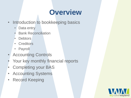# **Overview**

- Introduction to bookkeeping basics
	- Data entry
	- Bank Reconciliation
	- Debtors
	- Creditors
	- Payroll
- Accounting Controls
- Your key monthly financial reports
- Completing your BAS
- Accounting Systems
- Record Keeping

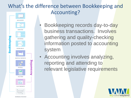### What's the difference between Bookkeeping and Accounting?

- **DATA ENTRY BANK REC Bookkeeping INVOICING PAYING BILLS MONTHLY REPORTS** Accounting **PAYROLL TAX PREP E.O.Y REPORTS**
- Bookkeeping records day-to-day business transactions. Involves gathering and quality-checking information posted to accounting system
- Accounting involves analyzing, reporting and attending to relevant legislative requirements

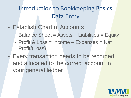### Introduction to Bookkeeping Basics Data Entry

- Establish Chart of Accounts
	- Balance Sheet = Assets Liabilities = Equity
	- Profit & Loss = Income Expenses = Net Profit/(Loss)
	- Every transaction needs to be recorded and allocated to the correct account in your general ledger

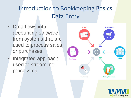### Introduction to Bookkeeping Basics Data Entry

- Data flows into accounting software from systems that are used to process sales or purchases
- Integrated approach used to streamline processing

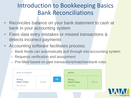### Introduction to Bookkeeping Basics Bank Reconciliations

- Reconciles balance on your bank statement to cash at bank in your accounting system
- Fixes data entry mistakes or missed transactions & detects incorrect payments
- Accounting software facilitates process:
	- Bank feeds can automatically pull through into accounting system
	- Requests verification and assignment
	- Pre-filled based on past transactions/matches/bank rules



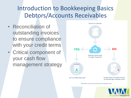### Introduction to Bookkeeping Basics Debtors/Accounts Receivables

- Reconciliation of outstanding invoices to ensure compliance with your credit terms
- Critical component of your cash flow management strategy



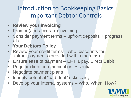### Introduction to Bookkeeping Basics Important Debtor Controls

- **Review your invoicing**
- Prompt (and accurate) invoicing
- Consider payment terms upfront deposits + progress bills
- **Your Debtors Policy**
- Review your credit terms who, discounts for upfront payments (provided within margins)
- Ensure ease of payment EFT, Bpay, Direct Debit
- Regular client communication essential
- Negotiate payment plans
- Identify potential "bad debt" risks early
- Develop your internal systems Who, When, How?

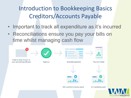### Introduction to Bookkeeping Basics Creditors/Accounts Payable

- Important to track all expenditure as it's incurred
- Reconciliations ensure you pay your bills on time whilst managing cash flow

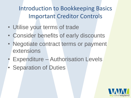Introduction to Bookkeeping Basics Important Creditor Controls

- Utilise your terms of trade
- Consider benefits of early discounts
- Negotiate contract terms or payment extensions
- Expenditure Authorisation Levels
- Separation of Duties

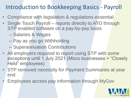### Introduction to Bookkeeping Basics - Payroll

- Compliance with legislation & regulations essential
- Single Touch Payroll reports directly to ATO through STP enabled software on a pay-by-pay basis
	- Salaries & Wages
	- Pay as you go Withholding
	- Superannuation Contributions
- All employers required to report using STP with some exceptions until 1 July 2021 (Micro businesses + "Closely Held" employees)
- STP removed necessity for Payment Summaries at year end
- Employees access pay information through MyGov

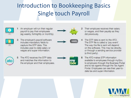## Introduction to Bookkeeping Basics Single touch Payroll



An employer will run their regular payroll to pay their employees (eg weekly, fortnightly or monthly).



The employer's payroll software. includes mandatory fields to capture the STP data. This includes year-to-date salary or wages and super information.



The ATO receives the STP data and matches the information to the employer and their employees.



- Their employee receives their salary or wages, and their payslip as they did previously.
- The STP data is sent to the ATO. The STP file is called a 'pay event'. The way the file is sent will depend on the software. This may be directly, or through a sending service provider (a third party).
- The ATO makes STP information 6 available to employees through myGov, to employers through the Business Portal and to tax agents through the Tax Agent Portal. Employees can see their year-todate tax and super information.

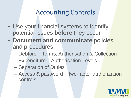### Accounting Controls

- Use your financial systems to identify potential issues **before** they occur
- **Document and communicate** policies and procedures
	- Debtors Terms, Authorisation & Collection
	- Expenditure Authorisation Levels
	- Separation of Duties
	- Access & password + two-factor authorization controls

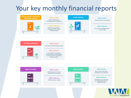### Your key monthly financial reports

### **Balance sheet / Statement** of financial position



### **What it tracks**

Value of things owned (including cash) vs things owed

### What it tells you

If the business gained or lost value, and its current financial position



**Profit and loss** 

### **What it tracks**

Money earned vs money spent

### What it tells you

If you had a profitable month or ran at a loss



### **What it tracks**

How much cash the business earned

### What it tells you

This is useful for businesses that sell things on credit because it shows how much spendable money you have.



### **What it tracks** Who owes you, how much,

and when it is (or was) due

What it tells you Which accounts to chase



### **What it tracks**

Who you owe, how much, and when it is (or was) due

### What it tells you

Demands on your cash and any relationship risks you might be facing

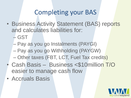### Completing your BAS

- Business Activity Statement (BAS) reports and calculates liabilities for:
	- GST
	- Pay as you go Instalments (PAYGI)
	- Pay as you go Withholding (PAYGW)
	- Other taxes (FBT, LCT, Fuel Tax credits)
- Cash Basis Business <\$10million T/O easier to manage cash flow
- Accruals Basis

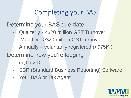### Completing your BAS

Determine your BAS due date

- Quarterly <\$20 million GST Turnover
- Monthly >\$20 million GST turnover
- Annually voluntarily registered (<\$75K )

Determine how you're lodging

- myGovID
- SBR (Standard Business Reporting) Software
- Your BAS or Tax Agent

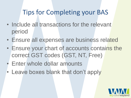## Tips for Completing your BAS

- Include all transactions for the relevant period
- Ensure all expenses are business related
- Ensure your chart of accounts contains the correct GST codes (GST, NT, Free)
- Enter whole dollar amounts
- Leave boxes blank that don't apply

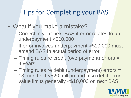### Tips for Completing your BAS

- What if you make a mistake?
	- Correct in your next BAS if error relates to an underpayment <\$10,000
	- If error involves underpayment >\$10,000 must amend BAS in actual period of error
	- Timing rules re credit (overpayment) errors = 4 years
	- Timing rules re debit (underpayment) errors = 18 months if <\$20 million and also debit error value limits generally <\$10,000 on next BAS

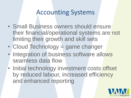### Accounting Systems

- Small Business owners should ensure their financial/operational systems are not limiting their growth and skill sets
- Cloud Technology = game changer
- Integration of business software allows seamless data flow
- Initial technology investment costs offset by reduced labour, increased efficiency and enhanced reporting

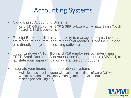### Accounting Systems

- Cloud Based Accounting Systems
	- Xero, MYOB etc contain STP & SBR software to facilitate Single Touch Payroll & BAS lodgements
- Receipt Bank facilitates your ability to manage receipts, invoices etc to ensure accurate, secure financial records. Capture & upload bills directly into your accounting software
- If your turnover <\$10million and <19 employees consider using FREE Small Business Superannuation Clearing House (SBSCH) to facilitate your superannuation guarantee contributions
- Integrate your financial and operational systems
	- Multiple apps that integrate with your accounting software (CRM, Workflow planners, inventory management, E-Commerce, rostering/scheduling etc)

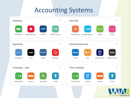### Accounting Systems



srjwalkerwayland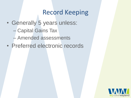### Record Keeping

- Generally 5 years unless:
	- Capital Gains Tax
	- Amended assessments
- Preferred electronic records